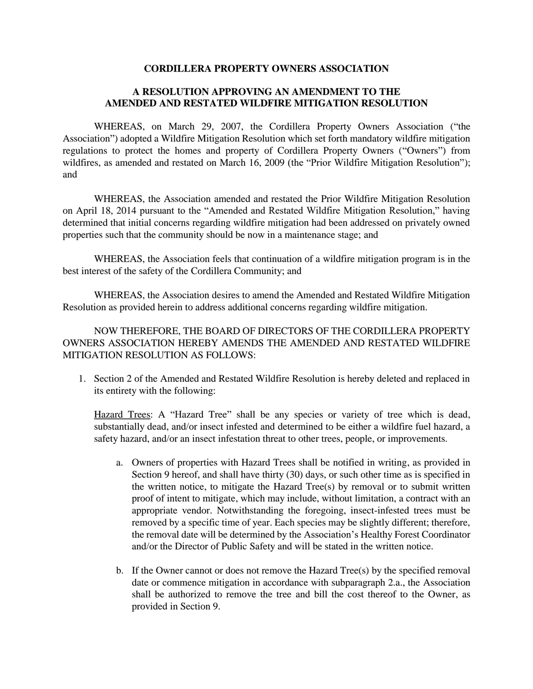## **CORDILLERA PROPERTY OWNERS ASSOCIATION**

## **A RESOLUTION APPROVING AN AMENDMENT TO THE AMENDED AND RESTATED WILDFIRE MITIGATION RESOLUTION**

WHEREAS, on March 29, 2007, the Cordillera Property Owners Association ("the Association") adopted a Wildfire Mitigation Resolution which set forth mandatory wildfire mitigation regulations to protect the homes and property of Cordillera Property Owners ("Owners") from wildfires, as amended and restated on March 16, 2009 (the "Prior Wildfire Mitigation Resolution"); and

WHEREAS, the Association amended and restated the Prior Wildfire Mitigation Resolution on April 18, 2014 pursuant to the "Amended and Restated Wildfire Mitigation Resolution," having determined that initial concerns regarding wildfire mitigation had been addressed on privately owned properties such that the community should be now in a maintenance stage; and

WHEREAS, the Association feels that continuation of a wildfire mitigation program is in the best interest of the safety of the Cordillera Community; and

WHEREAS, the Association desires to amend the Amended and Restated Wildfire Mitigation Resolution as provided herein to address additional concerns regarding wildfire mitigation.

NOW THEREFORE, THE BOARD OF DIRECTORS OF THE CORDILLERA PROPERTY OWNERS ASSOCIATION HEREBY AMENDS THE AMENDED AND RESTATED WILDFIRE MITIGATION RESOLUTION AS FOLLOWS:

1. Section 2 of the Amended and Restated Wildfire Resolution is hereby deleted and replaced in its entirety with the following:

Hazard Trees: A "Hazard Tree" shall be any species or variety of tree which is dead, substantially dead, and/or insect infested and determined to be either a wildfire fuel hazard, a safety hazard, and/or an insect infestation threat to other trees, people, or improvements.

- a. Owners of properties with Hazard Trees shall be notified in writing, as provided in Section 9 hereof, and shall have thirty (30) days, or such other time as is specified in the written notice, to mitigate the Hazard Tree(s) by removal or to submit written proof of intent to mitigate, which may include, without limitation, a contract with an appropriate vendor. Notwithstanding the foregoing, insect-infested trees must be removed by a specific time of year. Each species may be slightly different; therefore, the removal date will be determined by the Association's Healthy Forest Coordinator and/or the Director of Public Safety and will be stated in the written notice.
- b. If the Owner cannot or does not remove the Hazard Tree $(s)$  by the specified removal date or commence mitigation in accordance with subparagraph 2.a., the Association shall be authorized to remove the tree and bill the cost thereof to the Owner, as provided in Section 9.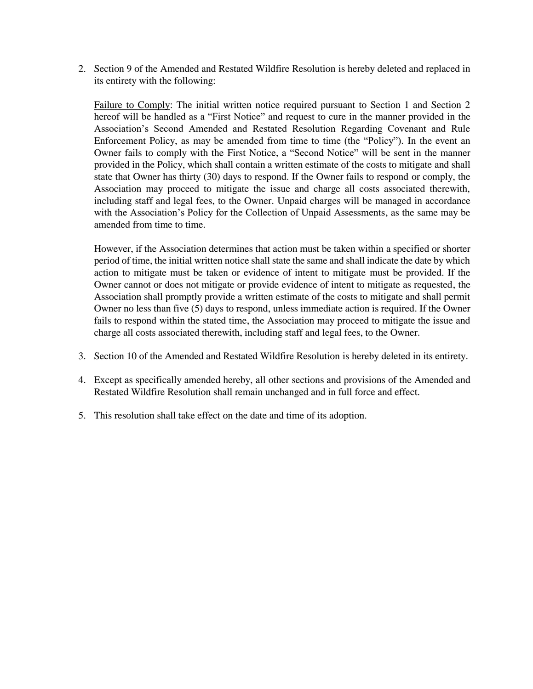2. Section 9 of the Amended and Restated Wildfire Resolution is hereby deleted and replaced in its entirety with the following:

Failure to Comply: The initial written notice required pursuant to Section 1 and Section 2 hereof will be handled as a "First Notice" and request to cure in the manner provided in the Association's Second Amended and Restated Resolution Regarding Covenant and Rule Enforcement Policy, as may be amended from time to time (the "Policy"). In the event an Owner fails to comply with the First Notice, a "Second Notice" will be sent in the manner provided in the Policy, which shall contain a written estimate of the costs to mitigate and shall state that Owner has thirty (30) days to respond. If the Owner fails to respond or comply, the Association may proceed to mitigate the issue and charge all costs associated therewith, including staff and legal fees, to the Owner. Unpaid charges will be managed in accordance with the Association's Policy for the Collection of Unpaid Assessments, as the same may be amended from time to time.

However, if the Association determines that action must be taken within a specified or shorter period of time, the initial written notice shall state the same and shall indicate the date by which action to mitigate must be taken or evidence of intent to mitigate must be provided. If the Owner cannot or does not mitigate or provide evidence of intent to mitigate as requested, the Association shall promptly provide a written estimate of the costs to mitigate and shall permit Owner no less than five (5) days to respond, unless immediate action is required. If the Owner fails to respond within the stated time, the Association may proceed to mitigate the issue and charge all costs associated therewith, including staff and legal fees, to the Owner.

- 3. Section 10 of the Amended and Restated Wildfire Resolution is hereby deleted in its entirety.
- 4. Except as specifically amended hereby, all other sections and provisions of the Amended and Restated Wildfire Resolution shall remain unchanged and in full force and effect.
- 5. This resolution shall take effect on the date and time of its adoption.